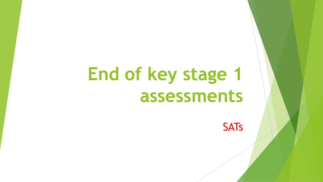# **End of key stage 1 assessments**

**SATs**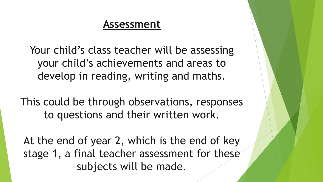#### **Assessment**

Your child's class teacher will be assessing your child's achievements and areas to develop in reading, writing and maths.

This could be through observations, responses to questions and their written work.

At the end of year 2, which is the end of key stage 1, a final teacher assessment for these subjects will be made.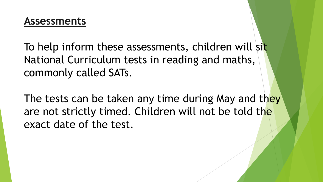To help inform these assessments, children will sit National Curriculum tests in reading and maths, commonly called SATs.

The tests can be taken any time during May and they are not strictly timed. Children will not be told the exact date of the test.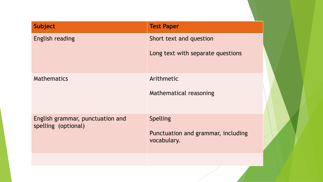| <b>Subject</b>                                          | <b>Test Paper</b>                                             |
|---------------------------------------------------------|---------------------------------------------------------------|
| <b>English reading</b>                                  | Short text and question<br>Long text with separate questions  |
| <b>Mathematics</b>                                      | Arithmetic<br>Mathematical reasoning                          |
| English grammar, punctuation and<br>spelling (optional) | Spelling<br>Punctuation and grammar, including<br>vocabulary. |
|                                                         |                                                               |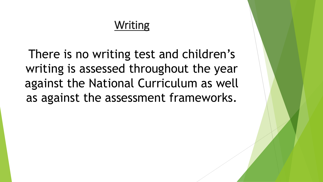### Writing

There is no writing test and children's writing is assessed throughout the year against the National Curriculum as well as against the assessment frameworks.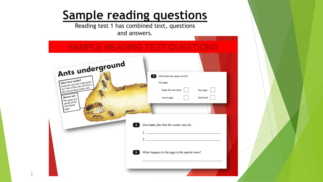# **Sample reading questions**

Reading test 1 has combined text, questions and answers.

| Ants underground                                                                                       |                                                                                                                                                                                                                                                                                     |
|--------------------------------------------------------------------------------------------------------|-------------------------------------------------------------------------------------------------------------------------------------------------------------------------------------------------------------------------------------------------------------------------------------|
| Who lives inside?<br>Inside the nest lives a big queen<br>ant. Most of the ants who live in            | What does the queen ant do?<br>$\overline{2}$<br>Tick one.                                                                                                                                                                                                                          |
| the nest are busy worker ants.<br>Queen ant<br>The queen ant<br>spends all her<br>time laying<br>eggs. | keeps the nest clean<br>lays eggs<br>finds food<br>moves eggs                                                                                                                                                                                                                       |
|                                                                                                        | Give two jobs that the worker ants do.<br>$\mathbf{1}_{\mathcal{P}}$ . The contract of the contract of the contract of the contract of the contract of the contract of the contract of the contract of the contract of the contract of the contract of the contract of the contract |
|                                                                                                        | 2.<br>What happens to the eggs in the special room?                                                                                                                                                                                                                                 |
|                                                                                                        |                                                                                                                                                                                                                                                                                     |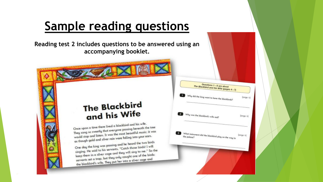# **Sample reading questions**

**Reading test 2 includes questions to be answered using an accompanying booklet.**

> Questions 1 - 8 are about The Blackbird and his Wife (pages 4-7)

> > $(page 4)$

 $(page 4)$ 

 $(pqge 4)$ 

Why did the king want to have the blackbirds?

What instrument did the blackbird play on the way to<br>the palace?

Why was the blackbird's wife sad?

8

#### The Blackbird and his Wife

Once upon a time there lived a blackbird and his wife.<br>Once upon a time there lived a blackbird and his wife. Once upon a time there lived a blackbird and the use of<br>They sang so sweetly that everyone passing beneath the tree They sang so sweetly that everyone passing beheating<br>would stop and listen. It was the most beautiful music; it was<br>would stop and listen. It was the most beautiful music; it was would stop and listen. It was the most beautiful into your ears.<br>as though gold and silver rain were falling into your ears.

os though gold and silver rain<br>One day the king was passing and he heard the two birds<br>One day the king was passing and he heard the birds! I will One day the king was passing and he head and the single single said to his servants, "Catch those birds! I will singing. He said to his servants, "Catch those shame." So the<br>keep them in a silver cage and they will sing to me." So the<br>beep them in a silver cage and they will sing to me." So the keep them in a silver cage and they will sing to the birds:<br>servants set a trap, but they only caught one of the birds: servants set a trap, but they only caught one -<br>the blackbird's wife. They put her into a silver cage and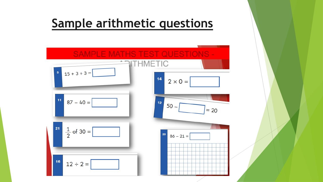## **Sample arithmetic questions**

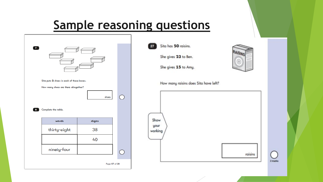## **Sample reasoning questions**

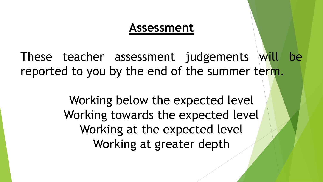### **Assessment**

These teacher assessment judgements will be reported to you by the end of the summer term.

> Working below the expected level Working towards the expected level Working at the expected level Working at greater depth